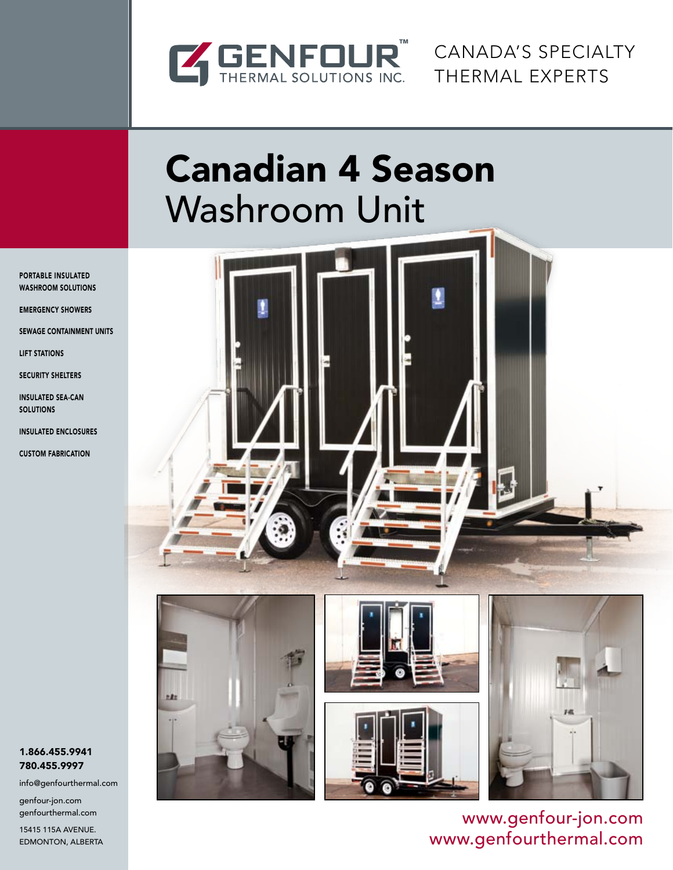

Canada's Specialty Thermal Experts

# Canadian 4 Season Washroom Unit

Portable Insulated WASHROOM SOLUTIONS

Emergency showers

Sewage Containment Units

Lift Stations

Security Shelters

Insulated Sea-Can **SOLUTIONS** 

Insulated Enclosures

Custom Fabrication







www.genfour-jon.com www.genfourthermal.com

#### 1.866.455.9941 780.455.9997

info@genfourthermal.com

genfour-jon.com genfourthermal.com

15415 115A Avenue. Edmonton, Alberta